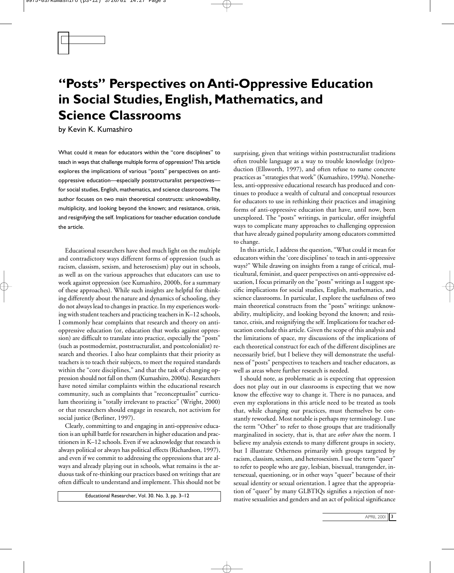# **"Posts" Perspectives on Anti-Oppressive Education in Social Studies, English, Mathematics, and Science Classrooms**

by Kevin K. Kumashiro

What could it mean for educators within the "core disciplines" to teach in ways that challenge multiple forms of oppression? This article explores the implications of various "posts" perspectives on antioppressive education—especially poststructuralist perspectives for social studies, English, mathematics, and science classrooms. The author focuses on two main theoretical constructs: unknowability, multiplicity, and looking beyond the known; and resistance, crisis, and resignifying the self. Implications for teacher education conclude the article.

Educational researchers have shed much light on the multiple and contradictory ways different forms of oppression (such as racism, classism, sexism, and heterosexism) play out in schools, as well as on the various approaches that educators can use to work against oppression (see Kumashiro, 2000b, for a summary of these approaches). While such insights are helpful for thinking differently about the nature and dynamics of schooling, they do not always lead to changes in practice. In my experiences working with student teachers and practicing teachers in K–12 schools, I commonly hear complaints that research and theory on antioppressive education (or, education that works against oppression) are difficult to translate into practice, especially the "posts" (such as postmodernist, poststructuralist, and postcolonialist) research and theories. I also hear complaints that their priority as teachers is to teach their subjects, to meet the required standards within the "core disciplines," and that the task of changing oppression should not fall on them (Kumashiro, 2000a). Researchers have noted similar complaints within the educational research community, such as complaints that "reconceptualist" curriculum theorizing is "totally irrelevant to practice" (Wright, 2000) or that researchers should engage in research, not activism for social justice (Berliner, 1997).

Clearly, committing to and engaging in anti-oppressive education is an uphill battle for researchers in higher education and practitioners in K–12 schools. Even if we acknowledge that research is always political or always has political effects (Richardson, 1997), and even if we commit to addressing the oppressions that are always and already playing out in schools, what remains is the arduous task of re-thinking our practices based on writings that are often difficult to understand and implement. This should not be

Educational Researcher, Vol. 30. No. 3, pp. 3–12

surprising, given that writings within poststructuralist traditions often trouble language as a way to trouble knowledge (re)production (Ellsworth, 1997), and often refuse to name concrete practices as "strategies that work" (Kumashiro, 1999a). Nonetheless, anti-oppressive educational research has produced and continues to produce a wealth of cultural and conceptual resources for educators to use in rethinking their practices and imagining forms of anti-oppressive education that have, until now, been unexplored. The "posts" writings, in particular, offer insightful ways to complicate many approaches to challenging oppression that have already gained popularity among educators committed to change.

In this article, I address the question, "What could it mean for educators within the 'core disciplines' to teach in anti-oppressive ways?" While drawing on insights from a range of critical, multicultural, feminist, and queer perspectives on anti-oppressive education, I focus primarily on the "posts" writings as I suggest specific implications for social studies, English, mathematics, and science classrooms. In particular, I explore the usefulness of two main theoretical constructs from the "posts" writings: unknowability, multiplicity, and looking beyond the known; and resistance, crisis, and resignifying the self. Implications for teacher education conclude this article. Given the scope of this analysis and the limitations of space, my discussions of the implications of each theoretical construct for each of the different disciplines are necessarily brief, but I believe they will demonstrate the usefulness of "posts" perspectives to teachers and teacher educators, as well as areas where further research is needed.

I should note, as problematic as is expecting that oppression does not play out in our classrooms is expecting that we now know the effective way to change it. There is no panacea, and even my explorations in this article need to be treated as tools that, while changing our practices, must themselves be constantly reworked. Most notable is perhaps my terminology. I use the term "Other" to refer to those groups that are traditionally marginalized in society, that is, that are *other than* the norm. I believe my analysis extends to many different groups in society, but I illustrate Otherness primarily with groups targeted by racism, classism, sexism, and heterosexism. I use the term "queer" to refer to people who are gay, lesbian, bisexual, transgender, intersexual, questioning, or in other ways "queer" because of their sexual identity or sexual orientation. I agree that the appropriation of "queer" by many GLBTIQs signifies a rejection of normative sexualities and genders and an act of political significance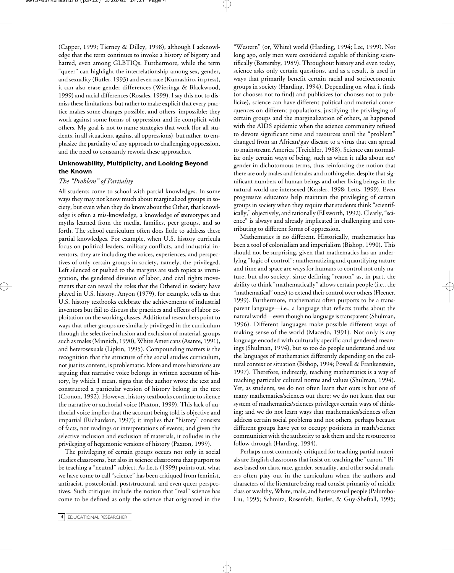(Capper, 1999; Tierney & Dilley, 1998), although I acknowledge that the term continues to invoke a history of bigotry and hatred, even among GLBTIQs. Furthermore, while the term "queer" can highlight the interrelationship among sex, gender, and sexuality (Butler, 1993) and even race (Kumashiro, in press), it can also erase gender differences (Wieringa & Blackwood, 1999) and racial differences (Rosales, 1999). I say this not to dismiss these limitations, but rather to make explicit that every practice makes some changes possible, and others, impossible; they work against some forms of oppression and lie complicit with others. My goal is not to name strategies that work (for all students, in all situations, against all oppressions), but rather, to emphasize the partiality of any approach to challenging oppression, and the need to constantly rework these approaches.

# **Unknowability, Multiplicity, and Looking Beyond the Known**

# *The "Problem" of Partiality*

All students come to school with partial knowledges. In some ways they may not know much about marginalized groups in society, but even when they do know about the Other, that knowledge is often a mis-knowledge, a knowledge of stereotypes and myths learned from the media, families, peer groups, and so forth. The school curriculum often does little to address these partial knowledges. For example, when U.S. history curricula focus on political leaders, military conflicts, and industrial inventors, they are including the voices, experiences, and perspectives of only certain groups in society, namely, the privileged. Left silenced or pushed to the margins are such topics as immigration, the gendered division of labor, and civil rights movements that can reveal the roles that the Othered in society have played in U.S. history. Anyon (1979), for example, tells us that U.S. history textbooks celebrate the achievements of industrial inventors but fail to discuss the practices and effects of labor exploitation on the working classes. Additional researchers point to ways that other groups are similarly privileged in the curriculum through the selective inclusion and exclusion of material, groups such as males (Minnich, 1990), White Americans (Asante, 1991), and heterosexuals (Lipkin, 1995). Compounding matters is the recognition that the structure of the social studies curriculum, not just its content, is problematic. More and more historians are arguing that narrative voice belongs in written accounts of history, by which I mean, signs that the author wrote the text and constructed a particular version of history belong in the text (Cronon, 1992). However, history textbooks continue to silence the narrative or authorial voice (Paxton, 1999). This lack of authorial voice implies that the account being told is objective and impartial (Richardson, 1997); it implies that "history" consists of facts, not readings or interpretations of events; and given the selective inclusion and exclusion of materials, it colludes in the privileging of hegemonic versions of history (Paxton, 1999).

The privileging of certain groups occurs not only in social studies classrooms, but also in science classrooms that purport to be teaching a "neutral" subject. As Letts (1999) points out, what we have come to call "science" has been critiqued from feminist, antiracist, postcolonial, poststructural, and even queer perspectives. Such critiques include the notion that "real" science has come to be defined as only the science that originated in the

"Western" (or, White) world (Harding, 1994; Lee, 1999). Not long ago, only men were considered capable of thinking scientifically (Battersby, 1989). Throughout history and even today, science asks only certain questions, and as a result, is used in ways that primarily benefit certain racial and socioeconomic groups in society (Harding, 1994). Depending on what it finds (or chooses not to find) and publicizes (or chooses not to publicize), science can have different political and material consequences on different populations, justifying the privileging of certain groups and the marginalization of others, as happened with the AIDS epidemic when the science community refused to devote significant time and resources until the "problem" changed from an African/gay disease to a virus that can spread to mainstream America (Treichler, 1988). Science can normalize only certain ways of being, such as when it talks about sex/ gender in dichotomous terms, thus reinforcing the notion that there are only males and females and nothing else, despite that significant numbers of human beings and other living beings in the natural world are intersexed (Kessler, 1998; Letts, 1999). Even progressive educators help maintain the privileging of certain groups in society when they require that students think "scientifically," objectively, and rationally (Ellsworth, 1992). Clearly, "science" is always and already implicated in challenging and contributing to different forms of oppression.

Mathematics is no different. Historically, mathematics has been a tool of colonialism and imperialism (Bishop, 1990). This should not be surprising, given that mathematics has an underlying "logic of control": mathematizing and quantifying nature and time and space are ways for humans to control not only nature, but also society, since defining "reason" as, in part, the ability to think "mathematically" allows certain people (i.e., the "mathematical" ones) to extend their control over others (Fleener, 1999). Furthermore, mathematics often purports to be a transparent language—i.e., a language that reflects truths about the natural world—even though no language is transparent (Shulman, 1996). Different languages make possible different ways of making sense of the world (Macedo, 1991). Not only is any language encoded with culturally specific and gendered meanings (Shulman, 1994), but so too do people understand and use the languages of mathematics differently depending on the cultural context or situation (Bishop, 1994; Powell & Frankenstein, 1997). Therefore, indirectly, teaching mathematics is a way of teaching particular cultural norms and values (Shulman, 1994). Yet, as students, we do not often learn that ours is but one of many mathematics/sciences out there; we do not learn that our system of mathematics/sciences privileges certain ways of thinking; and we do not learn ways that mathematics/sciences often address certain social problems and not others, perhaps because different groups have yet to occupy positions in math/science communities with the authority to ask them and the resources to follow through (Harding, 1994).

Perhaps most commonly critiqued for teaching partial materials are English classrooms that insist on teaching the "canon." Biases based on class, race, gender, sexuality, and other social markers often play out in the curriculum when the authors and characters of the literature being read consist primarily of middle class or wealthy, White, male, and heterosexual people (Palumbo-Liu, 1995; Schmitz, Rosenfelt, Butler, & Guy-Sheftall, 1995;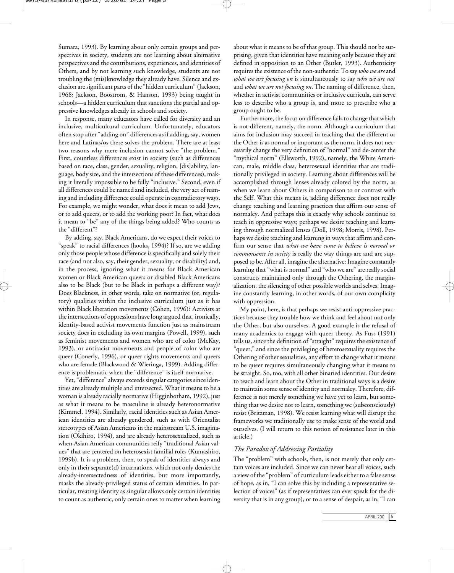Sumara, 1993). By learning about only certain groups and perspectives in society, students are not learning about alternative perspectives and the contributions, experiences, and identities of Others, and by not learning such knowledge, students are not troubling the (mis)knowledge they already have. Silence and exclusion are significant parts of the "hidden curriculum" (Jackson, 1968; Jackson, Boostrom, & Hanson, 1993) being taught in schools—a hidden curriculum that sanctions the partial and oppressive knowledges already in schools and society.

In response, many educators have called for diversity and an inclusive, multicultural curriculum. Unfortunately, educators often stop after "adding on" differences as if adding, say, women here and Latinas/os there solves the problem. There are at least two reasons why mere inclusion cannot solve "the problem." First, countless differences exist in society (such as differences based on race, class, gender, sexuality, religion, [dis]ability, language, body size, and the intersections of these differences), making it literally impossible to be fully "inclusive." Second, even if all differences could be named and included, the very act of naming and including difference could operate in contradictory ways. For example, we might wonder, what does it mean to add Jews, or to add queers, or to add the working poor? In fact, what does it mean to "be" any of the things being added? Who counts as the "different"?

By adding, say, Black Americans, do we expect their voices to "speak" to racial differences (hooks, 1994)? If so, are we adding only those people whose difference is specifically and solely their race (and not also, say, their gender, sexuality, or disability) and, in the process, ignoring what it means for Black American women or Black American queers or disabled Black Americans also to be Black (but to be Black in perhaps a different way)? Does Blackness, in other words, take on normative (or, regulatory) qualities within the inclusive curriculum just as it has within Black liberation movements (Cohen, 1996)? Activists at the intersections of oppressions have long argued that, ironically, identity-based activist movements function just as mainstream society does in excluding its own margins (Powell, 1999), such as feminist movements and women who are of color (McKay, 1993), or antiracist movements and people of color who are queer (Conerly, 1996), or queer rights movements and queers who are female (Blackwood & Wieringa, 1999). Adding difference is problematic when the "difference" is itself normative.

Yet, "difference" always exceeds singular categories since identities are already multiple and intersected. What it means to be a woman is already racially normative (Higginbotham, 1992), just as what it means to be masculine is already heteronormative (Kimmel, 1994). Similarly, racial identities such as Asian American identities are already gendered, such as with Orientalist stereotypes of Asian Americans in the mainstream U.S. imagination (Okihiro, 1994), and are already heterosexualized, such as when Asian American communities reify "traditional Asian values" that are centered on heterosexist familial roles (Kumashiro, 1999b). It is a problem, then, to speak of identities always and only in their separate(d) incarnations, which not only denies the already-intersectedness of identities, but more importantly, masks the already-privileged status of certain identities. In particular, treating identity as singular allows only certain identities to count as authentic, only certain ones to matter when learning about what it means to be of that group. This should not be surprising, given that identities have meaning only because they are defined in opposition to an Other (Butler, 1993). Authenticity requires the existence of the non-authentic: To say *who we are* and *what we are focusing on* is simultaneously to say *who we are not* and *what we are not focusing on*. The naming of difference, then, whether in activist communities or inclusive curricula, can serve less to describe who a group is, and more to prescribe who a group ought to be.

Furthermore, the focus on difference fails to change that which is not-different, namely, the norm. Although a curriculum that aims for inclusion may succeed in teaching that the different or the Other is as normal or important as the norm, it does not necessarily change the very definition of "normal" and de-center the "mythical norm" (Ellsworth, 1992), namely, the White American, male, middle class, heterosexual identities that are traditionally privileged in society. Learning about differences will be accomplished through lenses already colored by the norm, as when we learn about Others in comparison to or contrast with the Self. What this means is, adding difference does not really change teaching and learning practices that affirm our sense of normalcy. And perhaps this is exactly why schools continue to teach in oppressive ways; perhaps we desire teaching and learning through normalized lenses (Doll, 1998; Morris, 1998). Perhaps we desire teaching and learning in ways that affirm and confirm our sense that *what we have come to believe is normal or commonsense in society* is really the way things are and are supposed to be. After all, imagine the alternative: Imagine constantly learning that "what is normal" and "who we are" are really social constructs maintained only through the Othering, the marginalization, the silencing of other possible worlds and selves. Imagine constantly learning, in other words, of our own complicity with oppression.

My point, here, is that perhaps we resist anti-oppressive practices because they trouble how we think and feel about not only the Other, but also ourselves. A good example is the refusal of many academics to engage with queer theory. As Fuss (1991) tells us, since the definition of "straight" requires the existence of "queer," and since the privileging of heterosexuality requires the Othering of other sexualities, any effort to change what it means to be queer requires simultaneously changing what it means to be straight. So, too, with all other binaried identities. Our desire to teach and learn about the Other in traditional ways is a desire to maintain some sense of identity and normalcy. Therefore, difference is not merely something we have yet to learn, but something that we desire not to learn, something we (subconsciously) resist (Britzman, 1998). We resist learning what will disrupt the frameworks we traditionally use to make sense of the world and ourselves. (I will return to this notion of resistance later in this article.)

# *The Paradox of Addressing Partiality*

The "problem" with schools, then, is not merely that only certain voices are included. Since we can never hear all voices, such a view of the "problem" of curriculum leads either to a false sense of hope, as in, "I can solve this by including a representative selection of voices" (as if representatives can ever speak for the diversity that is in any group), or to a sense of despair, as in, "I can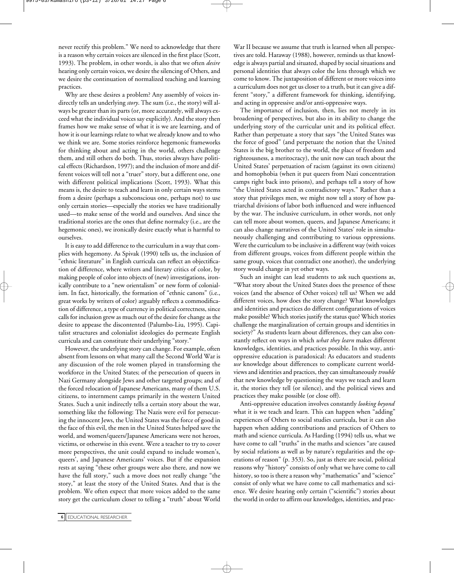never rectify this problem." We need to acknowledge that there is a reason why certain voices are silenced in the first place (Scott, 1993). The problem, in other words, is also that we often *desire* hearing only certain voices, we desire the silencing of Others, and we desire the continuation of normalized teaching and learning practices.

Why are these desires a problem? Any assembly of voices indirectly tells an underlying *story*. The sum (i.e., the story) will always be greater than its parts (or, more accurately, will always exceed what the individual voices say explicitly). And the story then frames how we make sense of what it is we are learning, and of how it is our learnings relate to what we already know and to who we think we are. Some stories reinforce hegemonic frameworks for thinking about and acting in the world, others challenge them, and still others do both. Thus, stories always have political effects (Richardson, 1997); and the inclusion of more and different voices will tell not a "truer" story, but a different one, one with different political implications (Scott, 1993). What this means is, the desire to teach and learn in only certain ways stems from a desire (perhaps a subconscious one, perhaps not) to use only certain stories—especially the stories we have traditionally used—to make sense of the world and ourselves. And since the traditional stories are the ones that define normalcy (i.e., are the hegemonic ones), we ironically desire exactly what is harmful to ourselves.

It is easy to add difference to the curriculum in a way that complies with hegemony. As Spivak (1990) tells us, the inclusion of "ethnic literature" in English curricula can reflect an objectification of difference, where writers and literary critics of color, by making people of color into objects of (new) investigations, ironically contribute to a "new orientalism" or new form of colonialism. In fact, historically, the formation of "ethnic canons" (i.e., great works by writers of color) arguably reflects a commodification of difference, a type of currency in political correctness, since calls for inclusion grew as much out of the desire for change as the desire to appease the discontented (Palumbo-Liu, 1995). Capitalist structures and colonialist ideologies do permeate English curricula and can constitute their underlying "story."

However, the underlying story can change. For example, often absent from lessons on what many call the Second World War is any discussion of the role women played in transforming the workforce in the United States; of the persecution of queers in Nazi Germany alongside Jews and other targeted groups; and of the forced relocation of Japanese Americans, many of them U.S. citizens, to internment camps primarily in the western United States. Such a unit indirectly tells a certain story about the war, something like the following: The Nazis were evil for persecuting the innocent Jews, the United States was the force of good in the face of this evil, the men in the United States helped save the world, and women/queers/Japanese Americans were not heroes, victims, or otherwise in this event. Were a teacher to try to cover more perspectives, the unit could expand to include women's, queers', and Japanese Americans' voices. But if the expansion rests at saying "these other groups were also there, and now we have the full story," such a move does not really change "the story," at least the story of the United States. And that is the problem. We often expect that more voices added to the same story get the curriculum closer to telling a "truth" about World War II because we assume that truth is learned when all perspectives are told. Haraway (1988), however, reminds us that knowledge is always partial and situated, shaped by social situations and personal identities that always color the lens through which we come to know. The juxtaposition of different or more voices into a curriculum does not get us closer to a truth, but it can give a different "story," a different framework for thinking, identifying, and acting in oppressive and/or anti-oppressive ways.

The importance of inclusion, then, lies not merely in its broadening of perspectives, but also in its ability to change the underlying story of the curricular unit and its political effect. Rather than perpetuate a story that says "the United States was the force of good" (and perpetuate the notion that the United States is the big brother to the world, the place of freedom and righteousness, a meritocracy), the unit now can teach about the United States' perpetuation of racism (against its own citizens) and homophobia (when it put queers from Nazi concentration camps right back into prisons), and perhaps tell a story of how "the United States acted in contradictory ways." Rather than a story that privileges men, we might now tell a story of how patriarchal divisions of labor both influenced and were influenced by the war. The inclusive curriculum, in other words, not only can tell more about women, queers, and Japanese Americans; it can also change narratives of the United States' role in simultaneously challenging and contributing to various oppressions. Were the curriculum to be inclusive in a different way (with voices from different groups, voices from different people within the same group, voices that contradict one another), the underlying story would change in yet other ways.

Such an insight can lead students to ask such questions as, "What story about the United States does the presence of these voices (and the absence of Other voices) tell us? When we add different voices, how does the story change? What knowledges and identities and practices do different configurations of voices make possible? Which stories justify the status quo? Which stories challenge the marginalization of certain groups and identities in society?" As students learn about differences, they can also constantly reflect on ways in which *what they learn* makes different knowledges, identities, and practices possible. In this way, antioppressive education is paradoxical: As educators and students *use* knowledge about differences to complicate current worldviews and identities and practices, they can simultaneously *trouble* that new knowledge by questioning the ways we teach and learn it, the stories they tell (or silence), and the political views and practices they make possible (or close off).

Anti-oppressive education involves constantly *looking beyond* what it is we teach and learn. This can happen when "adding" experiences of Others to social studies curricula, but it can also happen when adding contributions and practices of Others to math and science curricula. As Harding (1994) tells us, what we have come to call "truths" in the maths and sciences "are caused by social relations as well as by nature's regularities and the operations of reason" (p. 353). So, just as there are social, political reasons why "history" consists of only what we have come to call history, so too is there a reason why "mathematics" and "science" consist of only what we have come to call mathematics and science. We desire hearing only certain ("scientific") stories about the world in order to affirm our knowledges, identities, and prac-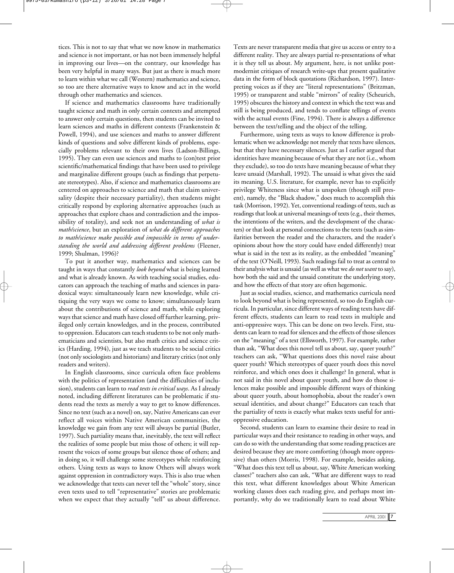tices. This is not to say that what we now know in mathematics and science is not important, or has not been immensely helpful in improving our lives—on the contrary, our knowledge has been very helpful in many ways. But just as there is much more to learn within what we call (Western) mathematics and science, so too are there alternative ways to know and act in the world through other mathematics and sciences.

If science and mathematics classrooms have traditionally taught science and math in only certain contexts and attempted to answer only certain questions, then students can be invited to learn sciences and maths in different contexts (Frankenstein & Powell, 1994), and use sciences and maths to answer different kinds of questions and solve different kinds of problems, especially problems relevant to their own lives (Ladson-Billings, 1995). They can even use sciences and maths to (con)test prior scientific/mathematical findings that have been used to privilege and marginalize different groups (such as findings that perpetuate stereotypes). Also, if science and mathematics classrooms are centered on approaches to science and math that claim universality (despite their necessary partiality), then students might critically respond by exploring alternative approaches (such as approaches that explore chaos and contradiction and the impossibility of totality), and seek not an understanding of *what is math/science*, but an exploration of *what do different approaches to math/science make possible and impossible in terms of understanding the world and addressing different problems* (Fleener, 1999; Shulman, 1996)?

To put it another way, mathematics and sciences can be taught in ways that constantly *look beyond* what is being learned and what is already known. As with teaching social studies, educators can approach the teaching of maths and sciences in paradoxical ways: simultaneously learn new knowledge, while critiquing the very ways we come to know; simultaneously learn about the contributions of science and math, while exploring ways that science and math have closed off further learning, privileged only certain knowledges, and in the process, contributed to oppression. Educators can teach students to be not only mathematicians and scientists, but also math critics and science critics (Harding, 1994), just as we teach students to be social critics (not only sociologists and historians) and literary critics (not only readers and writers).

In English classrooms, since curricula often face problems with the politics of representation (and the difficulties of inclusion), students can learn to *read texts in critical ways*. As I already noted, including different literatures can be problematic if students read the texts as merely a way to get to know differences. Since no text (such as a novel) on, say, Native Americans can ever reflect all voices within Native American communities, the knowledge we gain from any text will always be partial (Butler, 1997). Such partiality means that, inevitably, the text will reflect the realities of some people but miss those of others; it will represent the voices of some groups but silence those of others; and in doing so, it will challenge some stereotypes while reinforcing others. Using texts as ways to know Others will always work against oppression in contradictory ways. This is also true when we acknowledge that texts can never tell the "whole" story, since even texts used to tell "representative" stories are problematic when we expect that they actually "tell" us about difference. Texts are never transparent media that give us access or entry to a different reality. They are always partial re-presentations of what it is they tell us about. My argument, here, is not unlike postmodernist critiques of research write-ups that present qualitative data in the form of block quotations (Richardson, 1997). Interpreting voices as if they are "literal representations" (Britzman, 1995) or transparent and stable "mirrors" of reality (Scheurich, 1995) obscures the history and context in which the text was and still is being produced, and tends to conflate tellings of events with the actual events (Fine, 1994). There is always a difference between the text/telling and the object of the telling.

Furthermore, using texts as ways to know difference is problematic when we acknowledge not merely that texts have silences, but that they have necessary silences. Just as I earlier argued that identities have meaning because of what they are not (i.e., whom they exclude), so too do texts have meaning because of what they leave unsaid (Marshall, 1992). The unsaid is what gives the said its meaning. U.S. literature, for example, never has to explicitly privilege Whiteness since what is unspoken (though still present), namely, the "Black shadow," does much to accomplish this task (Morrison, 1992). Yet, conventional readings of texts, such as readings that look at universal meanings of texts (e.g., their themes, the intentions of the writers, and the development of the characters) or that look at personal connections to the texts (such as similarities between the reader and the characters, and the reader's opinions about how the story could have ended differently) treat what is said in the text as its reality, as the embedded "meaning" of the text (O'Neill, 1993). Such readings fail to treat as central to their analysis what is unsaid (as well as what we *do not want* to say), how both the said and the unsaid constitute the underlying story, and how the effects of that story are often hegemonic.

Just as social studies, science, and mathematics curricula need to look beyond what is being represented, so too do English curricula. In particular, since different ways of reading texts have different effects, students can learn to read texts in multiple and anti-oppressive ways. This can be done on two levels. First, students can learn to read for silences and the effects of those silences on the "meaning" of a text (Ellsworth, 1997). For example, rather than ask, "What does this novel tell us about, say, queer youth?" teachers can ask, "What questions does this novel raise about queer youth? Which stereotypes of queer youth does this novel reinforce, and which ones does it challenge? In general, what is not said in this novel about queer youth, and how do those silences make possible and impossible different ways of thinking about queer youth, about homophobia, about the reader's own sexual identities, and about change?" Educators can teach that the partiality of texts is exactly what makes texts useful for antioppressive education.

Second, students can learn to examine their desire to read in particular ways and their resistance to reading in other ways, and can do so with the understanding that some reading practices are desired because they are more comforting (though more oppressive) than others (Morris, 1998). For example, besides asking, "What does this text tell us about, say, White American working classes?" teachers also can ask, "What are different ways to read this text, what different knowledges about White American working classes does each reading give, and perhaps most importantly, why do we traditionally learn to read about White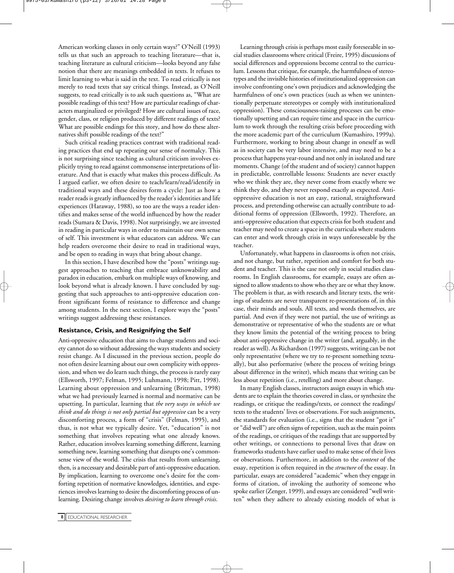American working classes in only certain ways?" O'Neill (1993) tells us that such an approach to teaching literature—that is, teaching literature as cultural criticism—looks beyond any false notion that there are meanings embedded in texts. It refuses to limit learning to what is said in the text. To read critically is not merely to read texts that say critical things. Instead, as O'Neill suggests, to read critically is to ask such questions as, "What are possible readings of this text? How are particular readings of characters marginalized or privileged? How are cultural issues of race, gender, class, or religion produced by different readings of texts? What are possible endings for this story, and how do these alternatives shift possible readings of the text?"

Such critical reading practices contrast with traditional reading practices that end up repeating our sense of normalcy. This is not surprising since teaching as cultural criticism involves explicitly trying to read against commonsense interpretations of literature. And that is exactly what makes this process difficult. As I argued earlier, we often desire to teach/learn/read/identify in traditional ways and these desires form a cycle: Just as how a reader reads is greatly influenced by the reader's identities and life experiences (Haraway, 1988), so too are the ways a reader identifies and makes sense of the world influenced by how the reader reads (Sumara & Davis, 1998). Not surprisingly, we are invested in reading in particular ways in order to maintain our own sense of self. This investment is what educators can address. We can help readers overcome their desire to read in traditional ways, and be open to reading in ways that bring about change.

In this section, I have described how the "posts" writings suggest approaches to teaching that embrace unknowability and paradox in education, embark on multiple ways of knowing, and look beyond what is already known. I have concluded by suggesting that such approaches to anti-oppressive education confront significant forms of resistance to difference and change among students. In the next section, I explore ways the "posts" writings suggest addressing these resistances.

# **Resistance, Crisis, and Resignifying the Self**

Anti-oppressive education that aims to change students and society cannot do so without addressing the ways students and society resist change. As I discussed in the previous section, people do not often desire learning about our own complicity with oppression, and when we do learn such things, the process is rarely easy (Ellsworth, 1997; Felman, 1995; Luhmann, 1998; Pitt, 1998). Learning about oppression and unlearning (Britzman, 1998) what we had previously learned is normal and normative can be upsetting. In particular, learning that *the very ways in which we think and do things is not only partial but oppressive* can be a very discomforting process, a form of "crisis" (Felman, 1995), and thus, is not what we typically desire. Yet, "education" is not something that involves repeating what one already knows. Rather, education involves learning something different, learning something new, learning something that disrupts one's commonsense view of the world. The crisis that results from unlearning, then, is a necessary and desirable part of anti-oppressive education. By implication, learning to overcome one's desire for the comforting repetition of normative knowledges, identities, and experiences involves learning to desire the discomforting process of unlearning. Desiring change involves *desiring to learn through crisis*.

Learning through crisis is perhaps most easily foreseeable in social studies classrooms where critical (Freire, 1995) discussions of social differences and oppressions become central to the curriculum. Lessons that critique, for example, the harmfulness of stereotypes and the invisible histories of institutionalized oppression can involve confronting one's own prejudices and acknowledging the harmfulness of one's own practices (such as when we unintentionally perpetuate stereotypes or comply with institutionalized oppression). These consciousness-raising processes can be emotionally upsetting and can require time and space in the curriculum to work through the resulting crisis before proceeding with the more academic part of the curriculum (Kumashiro, 1999a). Furthermore, working to bring about change in oneself as well as in society can be very labor intensive, and may need to be a process that happens year-round and not only in isolated and rare moments. Change (of the student and of society) cannot happen in predictable, controllable lessons: Students are never exactly who we think they are, they never come from exactly where we think they do, and they never respond exactly as expected. Antioppressive education is not an easy, rational, straightforward process, and pretending otherwise can actually contribute to additional forms of oppression (Ellsworth, 1992). Therefore, an anti-oppressive education that expects crisis for both student and teacher may need to create a space in the curricula where students can enter and work through crisis in ways unforeseeable by the teacher.

Unfortunately, what happens in classrooms is often not crisis, and not change, but rather, repetition and comfort for both student and teacher. This is the case not only in social studies classrooms. In English classrooms, for example, essays are often assigned to allow students to show who they are or what they know. The problem is that, as with research and literary texts, the writings of students are never transparent re-presentations of, in this case, their minds and souls. All texts, and words themselves, are partial. And even if they were not partial, the use of writings as demonstrative or representative of who the students are or what they know limits the potential of the writing process to bring about anti-oppressive change in the writer (and, arguably, in the reader as well). As Richardson (1997) suggests, writing can be not only representative (where we try to re-present something textually), but also performative (where the process of writing brings about difference in the writer), which means that writing can be less about repetition (i.e., retelling) and more about change.

In many English classes, instructors assign essays in which students are to explain the theories covered in class, or synthesize the readings, or critique the readings/texts, or connect the readings/ texts to the students' lives or observations. For such assignments, the standards for evaluation (i.e., signs that the student "got it" or "did well") are often signs of repetition, such as the main points of the readings, or critiques of the readings that are supported by other writings, or connections to personal lives that draw on frameworks students have earlier used to make sense of their lives or observations. Furthermore, in addition to the *content* of the essay, repetition is often required in the *structure* of the essay. In particular, essays are considered "academic" when they engage in forms of citation, of invoking the authority of someone who spoke earlier (Zenger, 1999), and essays are considered "well written" when they adhere to already existing models of what is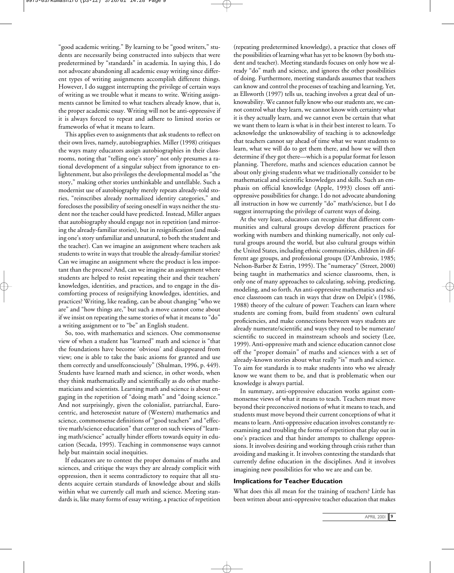"good academic writing." By learning to be "good writers," students are necessarily being constructed into subjects that were predetermined by "standards" in academia. In saying this, I do not advocate abandoning all academic essay writing since different types of writing assignments accomplish different things. However, I do suggest interrupting the privilege of certain ways of writing as we trouble what it means to write. Writing assignments cannot be limited to what teachers already know, that is, the proper academic essay. Writing will not be anti-oppressive if it is always forced to repeat and adhere to limited stories or frameworks of what it means to learn.

This applies even to assignments that ask students to reflect on their own lives, namely, autobiographies. Miller (1998) critiques the ways many educators assign autobiographies in their classrooms, noting that "telling one's story" not only presumes a rational development of a singular subject from ignorance to enlightenment, but also privileges the developmental model as "the story," making other stories unthinkable and untellable. Such a modernist use of autobiography merely repeats already-told stories, "reinscribes already normalized identity categories," and forecloses the possibility of seeing oneself in ways neither the student nor the teacher could have predicted. Instead, Miller argues that autobiography should engage not in repetition (and mirroring the already-familiar stories), but in resignification (and making one's story unfamiliar and unnatural, to both the student and the teacher). Can we imagine an assignment where teachers ask students to write in ways that trouble the already-familiar stories? Can we imagine an assignment where the product is less important than the process? And, can we imagine an assignment where students are helped to resist repeating their and their teachers' knowledges, identities, and practices, and to engage in the discomforting process of resignifying knowledges, identities, and practices? Writing, like reading, can be about changing "who we are" and "how things are," but such a move cannot come about if we insist on repeating the same stories of what it means to "do" a writing assignment or to "be" an English student.

So, too, with mathematics and sciences. One commonsense view of when a student has "learned" math and science is "that the foundations have become 'obvious' and disappeared from view; one is able to take the basic axioms for granted and use them correctly and unselfconsciously" (Shulman, 1996, p. 449). Students have learned math and science, in other words, when they think mathematically and scientifically as do other mathematicians and scientists. Learning math and science is about engaging in the repetition of "doing math" and "doing science." And not surprisingly, given the colonialist, patriarchal, Eurocentric, and heterosexist nature of (Western) mathematics and science, commonsense definitions of "good teachers" and "effective math/science education" that center on such views of "learning math/science" actually hinder efforts towards equity in education (Secada, 1995). Teaching in commonsense ways cannot help but maintain social inequities.

If educators are to contest the proper domains of maths and sciences, and critique the ways they are already complicit with oppression, then it seems contradictory to require that all students acquire certain standards of knowledge about and skills within what we currently call math and science. Meeting standards is, like many forms of essay writing, a practice of repetition (repeating predetermined knowledge), a practice that closes off the possibilities of learning what has yet to be known (by both student and teacher). Meeting standards focuses on only how we already "do" math and science, and ignores the other possibilities of doing. Furthermore, meeting standards assumes that teachers can know and control the processes of teaching and learning. Yet, as Ellsworth (1997) tells us, teaching involves a great deal of unknowability. We cannot fully know who our students are, we cannot control what they learn, we cannot know with certainty what it is they actually learn, and we cannot even be certain that what we want them to learn is what is in their best interest to learn. To acknowledge the unknowability of teaching is to acknowledge that teachers cannot say ahead of time what we want students to learn, what we will do to get them there, and how we will then determine if they got there—which is a popular format for lesson planning. Therefore, maths and sciences education cannot be about only giving students what we traditionally consider to be mathematical and scientific knowledges and skills. Such an emphasis on official knowledge (Apple, 1993) closes off antioppressive possibilities for change. I do not advocate abandoning all instruction in how we currently "do" math/science, but I do suggest interrupting the privilege of current ways of doing.

At the very least, educators can recognize that different communities and cultural groups develop different practices for working with numbers and thinking numerically, not only cultural groups around the world, but also cultural groups within the United States, including ethnic communities, children in different age groups, and professional groups (D'Ambrosio, 1985; Nelson-Barber & Estrin, 1995). The "numeracy" (Street, 2000) being taught in mathematics and science classrooms, then, is only one of many approaches to calculating, solving, predicting, modeling, and so forth. An anti-oppressive mathematics and science classroom can teach in ways that draw on Delpit's (1986, 1988) theory of the culture of power: Teachers can learn where students are coming from, build from students' own cultural proficiencies, and make connections between ways students are already numerate/scientific and ways they need to be numerate/ scientific to succeed in mainstream schools and society (Lee, 1999). Anti-oppressive math and science education cannot close off the "proper domain" of maths and sciences with a set of already-known stories about what really "is" math and science. To aim for standards is to make students into who we already know we want them to be, and that is problematic when our knowledge is always partial.

In summary, anti-oppressive education works against commonsense views of what it means to teach. Teachers must move beyond their preconceived notions of what it means to teach, and students must move beyond their current conceptions of what it means to learn. Anti-oppressive education involves constantly reexamining and troubling the forms of repetition that play out in one's practices and that hinder attempts to challenge oppressions. It involves desiring and working through crisis rather than avoiding and masking it. It involves contesting the standards that currently define education in the disciplines. And it involves imagining new possibilities for who we are and can be.

#### **Implications for Teacher Education**

What does this all mean for the training of teachers? Little has been written about anti-oppressive teacher education that makes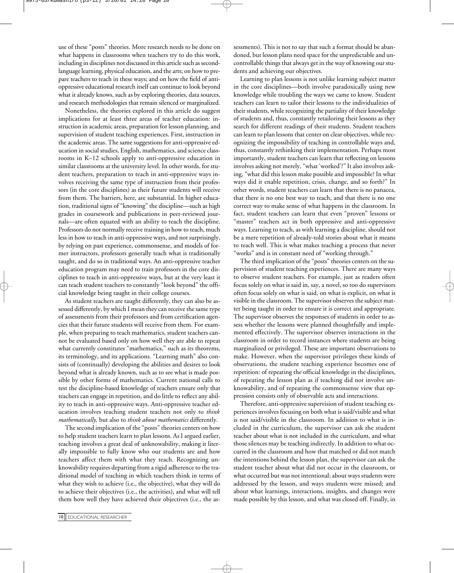use of these "posts" theories. More research needs to be done on what happens in classrooms when teachers try to do this work, including in disciplines not discussed in this article such as secondlanguage learning, physical education, and the arts; on how to prepare teachers to teach in these ways; and on how the field of antioppressive educational research itself can continue to look beyond what it already knows, such as by exploring theories, data sources, and research methodologies that remain silenced or marginalized.

Nonetheless, the theories explored in this article do suggest implications for at least three areas of teacher education: instruction in academic areas, preparation for lesson planning, and supervision of student teaching experiences. First, instruction in the academic areas. The same suggestions for anti-oppressive education in social studies, English, mathematics, and science classrooms in K–12 schools apply to anti-oppressive education in similar classrooms at the university level. In other words, for student teachers, preparation to teach in anti-oppressive ways involves receiving the same type of instruction from their professors (in the core disciplines) as their future students will receive from them. The barriers, here, are substantial. In higher education, traditional signs of "knowing" the discipline—such as high grades in coursework and publications in peer-reviewed journals—are often equated with an ability to teach the discipline. Professors do not normally receive training in how to teach, much less in how to teach in anti-oppressive ways, and not surprisingly, by relying on past experience, commonsense, and models of former instructors, professors generally teach what is traditionally taught, and do so in traditional ways. An anti-oppressive teacher education program may need to train professors in the core disciplines to teach in anti-oppressive ways, but at the very least it can teach student teachers to constantly "look beyond" the official knowledge being taught in their college courses.

As student teachers are taught differently, they can also be assessed differently, by which I mean they can receive the same type of assessments from their professors and from certification agencies that their future students will receive from them. For example, when preparing to teach mathematics, student teachers cannot be evaluated based only on how well they are able to repeat what currently constitutes "mathematics," such as its theorems, its terminology, and its applications. "Learning math" also consists of (continually) developing the abilities and desires to look beyond what is already known, such as to see what is made possible by other forms of mathematics. Current national calls to test the discipline-based knowledge of teachers ensure only that teachers can engage in repetition, and do little to reflect any ability to teach in anti-oppressive ways. Anti-oppressive teacher education involves teaching student teachers not only to *think mathematically,* but also to *think about mathematics* differently.

The second implication of the "posts" theories centers on how to help student teachers learn to plan lessons. As I argued earlier, teaching involves a great deal of unknowability, making it literally impossible to fully know who our students are and how teachers affect them with what they teach. Recognizing unknowability requires departing from a rigid adherence to the traditional model of teaching in which teachers think in terms of what they wish to achieve (i.e., the objective), what they will do to achieve their objectives (i.e., the activities), and what will tell them how well they have achieved their objectives (i.e., the assessments). This is not to say that such a format should be abandoned, but lesson plans need space for the unpredictable and uncontrollable things that always get in the way of knowing our students and achieving our objectives.

Learning to plan lessons is not unlike learning subject matter in the core disciplines—both involve paradoxically using new knowledge while troubling the ways we came to know. Student teachers can learn to tailor their lessons to the individualities of their students, while recognizing the partiality of their knowledge of students and, thus, constantly retailoring their lessons as they search for different readings of their students. Student teachers can learn to plan lessons that center on clear objectives, while recognizing the impossibility of teaching in controllable ways and, thus, constantly rethinking their implementation. Perhaps most importantly, student teachers can learn that reflecting on lessons involves asking not merely, "what 'worked'?" It also involves asking, "what did this lesson make possible and impossible? In what ways did it enable repetition, crisis, change, and so forth?" In other words, student teachers can learn that there is no panacea, that there is no one best way to teach, and that there is no one correct way to make sense of what happens in the classroom. In fact, student teachers can learn that even "proven" lessons or "master" teachers act in both oppressive and anti-oppressive ways. Learning to teach, as with learning a discipline, should not be a mere repetition of already-told stories about what it means to teach well. This is what makes teaching a process that never "works" and is in constant need of "working through."

The third implication of the "posts" theories centers on the supervision of student teaching experiences. There are many ways to observe student teachers. For example, just as readers often focus solely on what is said in, say, a novel, so too do supervisors often focus solely on what is said, on what is explicit, on what is visible in the classroom. The supervisor observes the subject matter being taught in order to ensure it is correct and appropriate. The supervisor observes the responses of students in order to assess whether the lessons were planned thoughtfully and implemented effectively. The supervisor observes interactions in the classroom in order to record instances where students are being marginalized or privileged. These are important observations to make. However, when the supervisor privileges these kinds of observations, the student teaching experience becomes one of repetition: of repeating the official knowledge in the disciplines, of repeating the lesson plan as if teaching did not involve unknowability, and of repeating the commonsense view that oppression consists only of observable acts and interactions.

Therefore, anti-oppressive supervision of student teaching experiences involves focusing on both what is said/visible and what is not said/visible in the classroom. In addition to what is included in the curriculum, the supervisor can ask the student teacher about what is not included in the curriculum, and what those silences may be teaching indirectly. In addition to what occurred in the classroom and how that matched or did not match the intentions behind the lesson plan, the supervisor can ask the student teacher about what did not occur in the classroom, or what occurred but was not intentional; about ways students were addressed by the lesson, and ways students were missed; and about what learnings, interactions, insights, and changes were made possible by this lesson, and what was closed off. Finally, in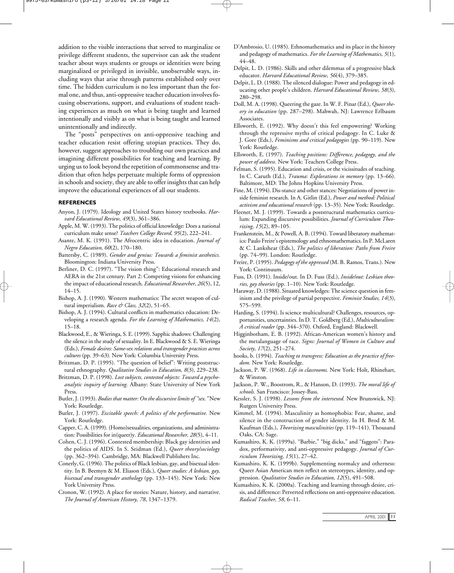addition to the visible interactions that served to marginalize or privilege different students, the supervisor can ask the student teacher about ways students or groups or identities were being marginalized or privileged in invisible, unobservable ways, including ways that arise through patterns established only over time. The hidden curriculum is no less important than the formal one, and thus, anti-oppressive teacher education involves focusing observations, support, and evaluations of student teaching experiences as much on what is being taught and learned intentionally and visibly as on what is being taught and learned unintentionally and indirectly.

The "posts" perspectives on anti-oppressive teaching and teacher education resist offering utopian practices. They do, however, suggest approaches to troubling our own practices and imagining different possibilities for teaching and learning. By urging us to look beyond the repetition of commonsense and tradition that often helps perpetuate multiple forms of oppression in schools and society, they are able to offer insights that can help improve the educational experiences of all our students.

#### **REFERENCES**

- Anyon, J. (1979). Ideology and United States history textbooks. *Harvard Educational Review, 49*(3), 361–386.
- Apple, M. W. (1993). The politics of official knowledge: Does a national curriculum make sense? *Teachers College Record, 95*(2), 222–241.
- Asante, M. K. (1991). The Afrocentric idea in education. *Journal of Negro Education, 60*(2), 170–180.
- Battersby, C. (1989). *Gender and genius: Towards a feminist aesthetics.* Bloomington: Indiana University Press.
- Berliner, D. C. (1997). "The vision thing": Educational research and AERA in the 21st century. Part 2: Competing visions for enhancing the impact of educational research. *Educational Researcher, 26*(5), 12, 14–15.
- Bishop, A. J. (1990). Western mathematics: The secret weapon of cultural imperialism. *Race & Class, 32*(2), 51–65.
- Bishop, A. J. (1994). Cultural conflicts in mathematics education: Developing a research agenda. *For the Learning of Mathematics, 14*(2), 15–18.
- Blackwood, E., & Wieringa, S. E. (1999). Sapphic shadows: Challenging the silence in the study of sexuality. In E. Blackwood & S. E. Wieringa (Eds.), *Female desires: Same-sex relations and transgender practices across cultures* (pp. 39–63)*.* New York: Columbia University Press.
- Britzman, D. P. (1995). "The question of belief": Writing poststructural ethnography. *Qualitative Studies in Education, 8*(3), 229–238.
- Britzman, D. P. (1998). *Lost subjects, contested objects: Toward a psychoanalytic inquiry of learning.* Albany: State University of New York Press.
- Butler, J. (1993). *Bodies that matter: On the discursive limits of "sex."* New York: Routledge.
- Butler, J. (1997). *Excitable speech: A politics of the performative.* New York: Routledge.
- Capper, C. A. (1999). (Homo)sexualities, organizations, and administration: Possibilities for in(queer)y. *Educational Researcher, 28*(5), 4–11.
- Cohen, C. J. (1996). Contested membership: Black gay identities and the politics of AIDS. In S. Seidman (Ed.), *Queer theory/sociology* (pp. 362–394)*.* Cambridge, MA: Blackwell Publishers Inc.
- Conerly, G. (1996). The politics of Black lesbian, gay, and bisexual identity. In B. Beemyn & M. Eliason (Eds.), *Queer studies: A lesbian, gay, bisexual and transgender anthology* (pp. 133–145). New York: New York University Press.
- Cronon, W. (1992). A place for stories: Nature, history, and narrative. *The Journal of American History, 78*, 1347–1379.
- D'Ambrosio, U. (1985). Ethnomathematics and its place in the history and pedagogy of mathematics. *For the Learning of Mathematics, 5*(1), 44–48.
- Delpit, L. D. (1986). Skills and other dilemmas of a progressive black educator. *Harvard Educational Review, 56*(4), 379–385.
- Delpit, L. D. (1988). The silenced dialogue: Power and pedagogy in educating other people's children. *Harvard Educational Review, 58*(3), 280–298.
- Doll, M. A. (1998). Queering the gaze. In W. F. Pinar (Ed.), *Queer theory in education* (pp. 287–298). Mahwah, NJ: Lawrence Erlbaum Associates.
- Ellsworth, E. (1992). Why doesn't this feel empowering? Working through the repressive myths of critical pedagogy. In C. Luke & J. Gore (Eds.), *Feminisms and critical pedagogies* (pp. 90–119). New York: Routledge.
- Ellsworth, E. (1997). *Teaching positions: Difference, pedagogy, and the power of address.* New York: Teachers College Press.
- Felman, S. (1995). Education and crisis, or the vicissitudes of teaching. In C. Caruth (Ed.), *Trauma: Explorations in memory* (pp. 13–66). Baltimore, MD: The Johns Hopkins University Press.
- Fine, M. (1994). Dis-stance and other stances: Negotiations of power inside feminist research. In A. Gitlin (Ed.), *Power and method: Political activism and educational research* (pp. 13–35)*.* New York: Routledge.
- Fleener, M. J. (1999). Towards a poststructural mathematics curriculum: Expanding discursive possibilities. *Journal of Curriculum Theorizing, 15*(2), 89–105.
- Frankenstein, M., & Powell, A. B. (1994). Toward liberatory mathematics: Paulo Freire's epistemology and ethnomathematics. In P. McLaren & C. Lankshear (Eds.), *The politics of liberation: Paths from Freire* (pp. 74–99). London: Routledge.
- Freire, P. (1995). *Pedagogy of the oppressed* (M. B. Ramos, Trans.). New York: Continuum.
- Fuss, D. (1991). Inside/out. In D. Fuss (Ed.), *Inside/out: Lesbian theories, gay theories* (pp. 1–10). New York: Routledge.
- Haraway, D. (1988). Situated knowledges: The science question in feminism and the privilege of partial perspective. *Feminist Studies, 14*(3), 575–599.
- Harding, S. (1994). Is science multicultural? Challenges, resources, opportunities, uncertainties. In D. T. Goldberg (Ed.), *Multiculturalism: A critical reader* (pp. 344–370). Oxford, England: Blackwell.
- Higginbotham, E. B. (1992). African-American women's history and the metalanguage of race. *Signs: Journal of Women in Culture and Society, 17*(2), 251–274.
- hooks, b. (1994). *Teaching to transgress: Education as the practice of freedom.* New York: Routledge.
- Jackson, P. W. (1968). *Life in classrooms.* New York: Holt, Rhinehart, & Winston.
- Jackson, P. W., Boostrom, R., & Hanson, D. (1993). *The moral life of schools.* San Francisco: Jossey-Bass.
- Kessler, S. J. (1998). *Lessons from the intersexed.* New Brunswick, NJ: Rutgers University Press.
- Kimmel, M. (1994). Masculinity as homophobia: Fear, shame, and silence in the construction of gender identity. In H. Brod & M. Kaufman (Eds.), *Theorizing masculinities* (pp. 119–141). Thousand Oaks, CA: Sage.
- Kumashiro, K. K. (1999a). "Barbie," "big dicks," and "faggots": Paradox, performativity, and anti-oppressive pedagogy. *Journal of Curriculum Theorizing, 15*(1), 27–42.
- Kumashiro, K. K. (1999b). Supplementing normalcy and otherness: Queer Asian American men reflect on stereotypes, identity, and oppression. *Qualitative Studies in Education, 12*(5), 491–508.
- Kumashiro, K. K. (2000a). Teaching and learning through desire, crisis, and difference: Perverted reflections on anti-oppressive education. *Radical Teacher, 58*, 6–11.